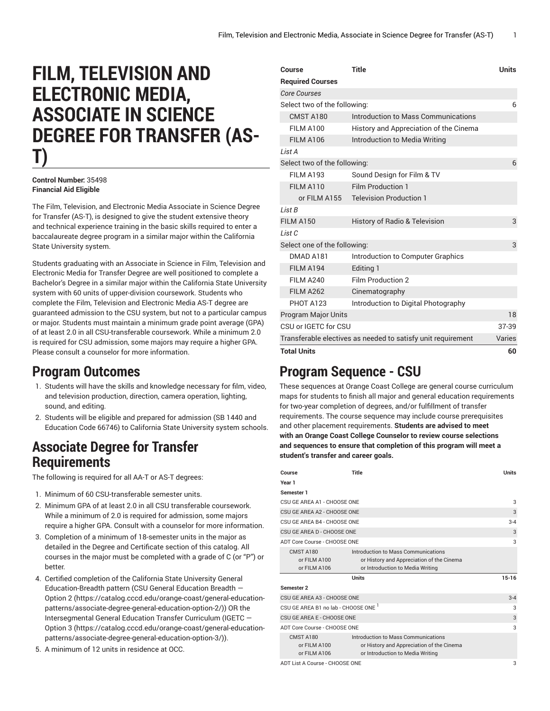# **FILM, TELEVISION AND ELECTRONIC MEDIA, ASSOCIATE IN SCIENCE DEGREE FOR TRANSFER (AS-T)**

#### **Control Number:** 35498 **Financial Aid Eligible**

The Film, Television, and Electronic Media Associate in Science Degree for Transfer (AS-T), is designed to give the student extensive theory and technical experience training in the basic skills required to enter a baccalaureate degree program in a similar major within the California State University system.

Students graduating with an Associate in Science in Film, Television and Electronic Media for Transfer Degree are well positioned to complete a Bachelor's Degree in a similar major within the California State University system with 60 units of upper-division coursework. Students who complete the Film, Television and Electronic Media AS-T degree are guaranteed admission to the CSU system, but not to a particular campus or major. Students must maintain a minimum grade point average (GPA) of at least 2.0 in all CSU-transferable coursework. While a minimum 2.0 is required for CSU admission, some majors may require a higher GPA. Please consult a counselor for more information.

### **Program Outcomes**

- 1. Students will have the skills and knowledge necessary for film, video, and television production, direction, camera operation, lighting, sound, and editing.
- 2. Students will be eligible and prepared for admission (SB 1440 and Education Code 66746) to California State University system schools.

### **Associate Degree for Transfer Requirements**

The following is required for all AA-T or AS-T degrees:

- 1. Minimum of 60 CSU-transferable semester units.
- 2. Minimum GPA of at least 2.0 in all CSU transferable coursework. While a minimum of 2.0 is required for admission, some majors require a higher GPA. Consult with a counselor for more information.
- 3. Completion of a minimum of 18-semester units in the major as detailed in the Degree and Certificate section of this catalog. All courses in the major must be completed with a grade of C (or "P") or better.
- 4. Certified completion of the California State University General Education-Breadth pattern (CSU General [Education](https://catalog.cccd.edu/orange-coast/general-education-patterns/associate-degree-general-education-option-2/) Breadth — [Option 2](https://catalog.cccd.edu/orange-coast/general-education-patterns/associate-degree-general-education-option-2/) ([https://catalog.cccd.edu/orange-coast/general-education](https://catalog.cccd.edu/orange-coast/general-education-patterns/associate-degree-general-education-option-2/)[patterns/associate-degree-general-education-option-2/\)](https://catalog.cccd.edu/orange-coast/general-education-patterns/associate-degree-general-education-option-2/)) OR the Intersegmental General Education Transfer Curriculum [\(IGETC](https://catalog.cccd.edu/orange-coast/general-education-patterns/associate-degree-general-education-option-3/) — [Option 3](https://catalog.cccd.edu/orange-coast/general-education-patterns/associate-degree-general-education-option-3/) ([https://catalog.cccd.edu/orange-coast/general-education](https://catalog.cccd.edu/orange-coast/general-education-patterns/associate-degree-general-education-option-3/)[patterns/associate-degree-general-education-option-3/\)](https://catalog.cccd.edu/orange-coast/general-education-patterns/associate-degree-general-education-option-3/)).
- 5. A minimum of 12 units in residence at OCC.

| Course                                                       | Title                                    | Units  |
|--------------------------------------------------------------|------------------------------------------|--------|
| <b>Required Courses</b>                                      |                                          |        |
| <b>Core Courses</b>                                          |                                          |        |
| Select two of the following:                                 |                                          | 6      |
| CMST A180                                                    | Introduction to Mass Communications      |        |
| FILM A100                                                    | History and Appreciation of the Cinema   |        |
| <b>FILM A106</b>                                             | Introduction to Media Writing            |        |
| List A                                                       |                                          |        |
| Select two of the following:                                 |                                          | 6      |
| <b>FILM A193</b>                                             | Sound Design for Film & TV               |        |
| FILM A110                                                    | <b>Film Production 1</b>                 |        |
| or FILM A155                                                 | <b>Television Production 1</b>           |        |
| I ist B                                                      |                                          |        |
| <b>FILM A150</b>                                             | <b>History of Radio &amp; Television</b> | 3      |
| List C                                                       |                                          |        |
| Select one of the following:                                 |                                          | 3      |
| DMAD A181                                                    | Introduction to Computer Graphics        |        |
| <b>FILM A194</b>                                             | Editing 1                                |        |
| <b>FILM A240</b>                                             | Film Production 2                        |        |
| <b>FILM A262</b>                                             | Cinematography                           |        |
| <b>PHOT A123</b>                                             | Introduction to Digital Photography      |        |
| <b>Program Major Units</b>                                   |                                          | 18     |
| CSU or IGETC for CSU                                         |                                          | 37-39  |
| Transferable electives as needed to satisfy unit requirement |                                          | Varies |
| <b>Total Units</b>                                           |                                          | 60     |
|                                                              |                                          |        |

## **Program Sequence - CSU**

These sequences at Orange Coast College are general course curriculum maps for students to finish all major and general education requirements for two-year completion of degrees, and/or fulfillment of transfer requirements. The course sequence may include course prerequisites and other placement requirements. **Students are advised to meet with an Orange Coast College Counselor to review course selections and sequences to ensure that completion of this program will meet a student's transfer and career goals.**

| Course                                           | Title                                                                                                                | <b>Units</b> |
|--------------------------------------------------|----------------------------------------------------------------------------------------------------------------------|--------------|
| Year 1                                           |                                                                                                                      |              |
| Semester 1                                       |                                                                                                                      |              |
| CSU GE AREA A1 - CHOOSE ONE                      |                                                                                                                      | 3            |
| CSU GE AREA A2 - CHOOSE ONE                      |                                                                                                                      | 3            |
| CSU GE AREA B4 - CHOOSE ONE                      |                                                                                                                      | $3 - 4$      |
| CSU GE AREA D - CHOOSE ONE                       |                                                                                                                      | 3            |
| ADT Core Course - CHOOSE ONE                     |                                                                                                                      | 3            |
| <b>CMST A180</b><br>or FILM A100<br>or FILM A106 | Introduction to Mass Communications<br>or History and Appreciation of the Cinema<br>or Introduction to Media Writing |              |
| <b>Units</b>                                     |                                                                                                                      | $15 - 16$    |
| Semester 2                                       |                                                                                                                      |              |
| CSU GE AREA A3 - CHOOSE ONE                      |                                                                                                                      | $3 - 4$      |
| CSU GE AREA B1 no lab - CHOOSE ONE '             |                                                                                                                      | 3            |
| CSU GE AREA E - CHOOSE ONE                       |                                                                                                                      | 3            |
| ADT Core Course - CHOOSE ONE                     |                                                                                                                      | 3            |
| <b>CMST A180</b><br>or FILM A100<br>or FILM A106 | Introduction to Mass Communications<br>or History and Appreciation of the Cinema<br>or Introduction to Media Writing |              |
| ADT List A Course - CHOOSE ONE                   |                                                                                                                      | 3            |